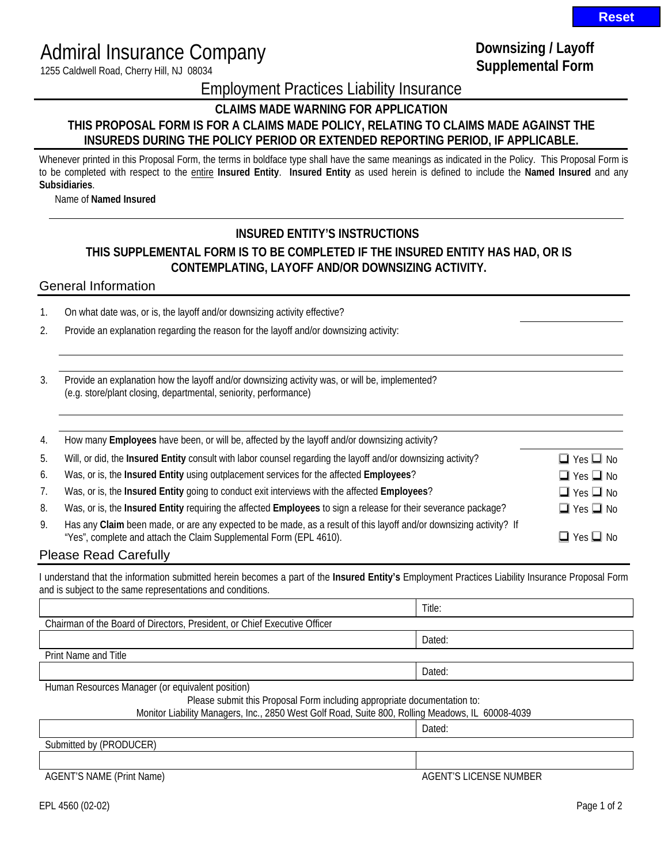# Admiral Insurance Company

1255 Caldwell Road, Cherry Hill, NJ 08034

## **Downsizing / Layoff Supplemental Form**

Employment Practices Liability Insurance

**CLAIMS MADE WARNING FOR APPLICATION** 

#### **THIS PROPOSAL FORM IS FOR A CLAIMS MADE POLICY, RELATING TO CLAIMS MADE AGAINST THE INSUREDS DURING THE POLICY PERIOD OR EXTENDED REPORTING PERIOD, IF APPLICABLE.**

Whenever printed in this Proposal Form, the terms in boldface type shall have the same meanings as indicated in the Policy. This Proposal Form is to be completed with respect to the entire **Insured Entity**. **Insured Entity** as used herein is defined to include the **Named Insured** and any **Subsidiaries**.

Name of **Named Insured**

### **INSURED ENTITY'S INSTRUCTIONS**

## **THIS SUPPLEMENTAL FORM IS TO BE COMPLETED IF THE INSURED ENTITY HAS HAD, OR IS CONTEMPLATING, LAYOFF AND/OR DOWNSIZING ACTIVITY.**

#### General Information

1. On what date was, or is, the layoff and/or downsizing activity effective?

2. Provide an explanation regarding the reason for the layoff and/or downsizing activity:

3. Provide an explanation how the layoff and/or downsizing activity was, or will be, implemented? (e.g. store/plant closing, departmental, seniority, performance)

| 4.                    | How many Employees have been, or will be, affected by the layoff and/or downsizing activity?                                                                                             |                      |  |
|-----------------------|------------------------------------------------------------------------------------------------------------------------------------------------------------------------------------------|----------------------|--|
| 5.                    | Will, or did, the Insured Entity consult with labor counsel regarding the layoff and/or downsizing activity?                                                                             | $\Box$ Yes $\Box$ No |  |
| 6.                    | Was, or is, the Insured Entity using outplacement services for the affected Employees?                                                                                                   | $\Box$ Yes $\Box$ No |  |
|                       | Was, or is, the Insured Entity going to conduct exit interviews with the affected Employees?                                                                                             | $\Box$ Yes $\Box$ No |  |
| 8.                    | Was, or is, the Insured Entity requiring the affected Employees to sign a release for their severance package?                                                                           | $\Box$ Yes $\Box$ No |  |
| 9.                    | Has any Claim been made, or are any expected to be made, as a result of this layoff and/or downsizing activity? If<br>"Yes", complete and attach the Claim Supplemental Form (EPL 4610). | $\Box$ Yes $\Box$ No |  |
| Dlasse Dead Carefully |                                                                                                                                                                                          |                      |  |

#### Please Read Carefully

I understand that the information submitted herein becomes a part of the **Insured Entity's** Employment Practices Liability Insurance Proposal Form and is subject to the same representations and conditions.

|                                                                                                  | Title: |  |  |
|--------------------------------------------------------------------------------------------------|--------|--|--|
| Chairman of the Board of Directors, President, or Chief Executive Officer                        |        |  |  |
|                                                                                                  | Dated: |  |  |
| <b>Print Name and Title</b>                                                                      |        |  |  |
|                                                                                                  | Dated: |  |  |
| Human Resources Manager (or equivalent position)                                                 |        |  |  |
| Please submit this Proposal Form including appropriate documentation to:                         |        |  |  |
| Monitor Liability Managers, Inc., 2850 West Golf Road, Suite 800, Rolling Meadows, IL 60008-4039 |        |  |  |
|                                                                                                  | Dated: |  |  |
| Submitted by (PRODUCER)                                                                          |        |  |  |
|                                                                                                  |        |  |  |

AGENT'S NAME (Print Name) AGENT'S LICENSE NUMBER